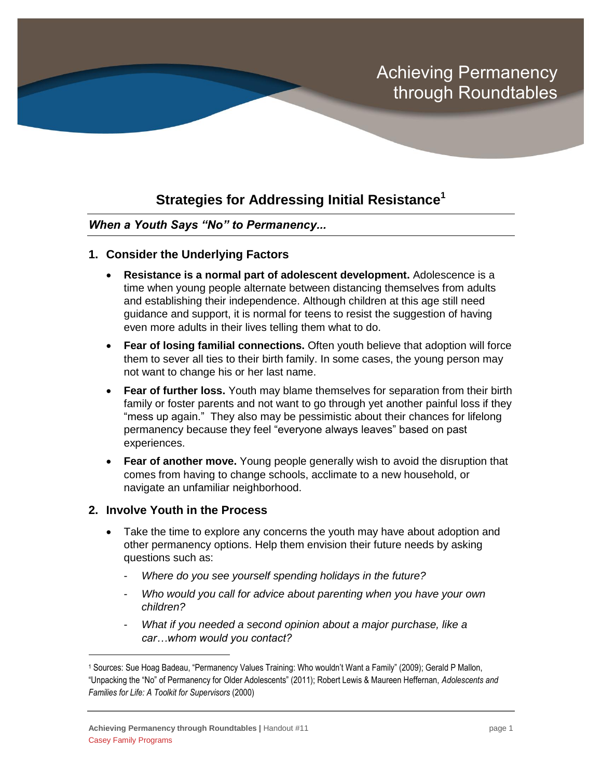# Achieving Permanency through Roundtables

# **Strategies for Addressing Initial Resistance<sup>1</sup>**

### *When a Youth Says "No" to Permanency...*

- **1. Consider the Underlying Factors** 
	- **Resistance is a normal part of adolescent development.** Adolescence is a time when young people alternate between distancing themselves from adults and establishing their independence. Although children at this age still need guidance and support, it is normal for teens to resist the suggestion of having even more adults in their lives telling them what to do.
	- **Fear of losing familial connections.** Often youth believe that adoption will force them to sever all ties to their birth family. In some cases, the young person may not want to change his or her last name.
	- **Fear of further loss.** Youth may blame themselves for separation from their birth family or foster parents and not want to go through yet another painful loss if they "mess up again." They also may be pessimistic about their chances for lifelong permanency because they feel "everyone always leaves" based on past experiences.
	- **Fear of another move.** Young people generally wish to avoid the disruption that comes from having to change schools, acclimate to a new household, or navigate an unfamiliar neighborhood.

#### **2. Involve Youth in the Process**

 $\overline{a}$ 

- Take the time to explore any concerns the youth may have about adoption and other permanency options. Help them envision their future needs by asking questions such as:
	- *Where do you see yourself spending holidays in the future?*
	- *Who would you call for advice about parenting when you have your own children?*
	- *What if you needed a second opinion about a major purchase, like a car…whom would you contact?*

<sup>1</sup> Sources: Sue Hoag Badeau, "Permanency Values Training: Who wouldn't Want a Family" (2009); Gerald P Mallon, "Unpacking the "No" of Permanency for Older Adolescents" (2011); Robert Lewis & Maureen Heffernan, *Adolescents and Families for Life: A Toolkit for Supervisors* (2000)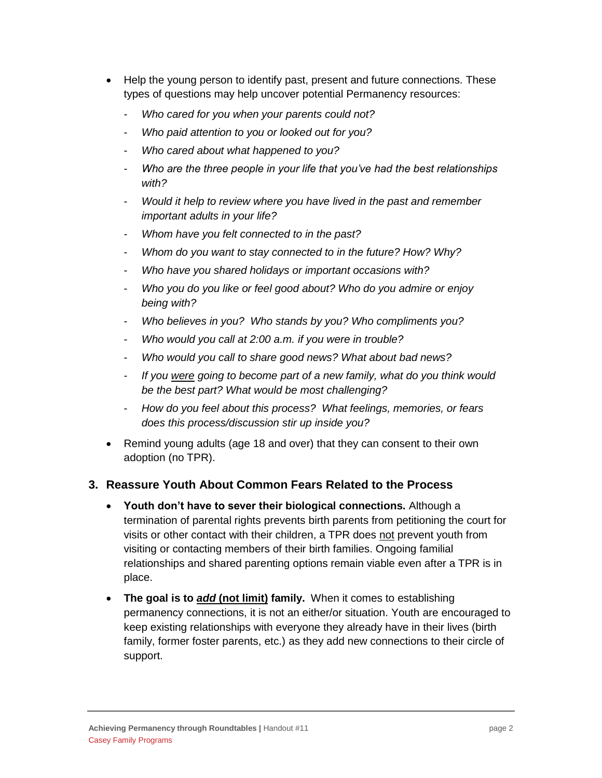- Help the young person to identify past, present and future connections. These types of questions may help uncover potential Permanency resources:
	- *Who cared for you when your parents could not?*
	- *Who paid attention to you or looked out for you?*
	- *Who cared about what happened to you?*
	- *Who are the three people in your life that you've had the best relationships with?*
	- *Would it help to review where you have lived in the past and remember important adults in your life?*
	- *Whom have you felt connected to in the past?*
	- *Whom do you want to stay connected to in the future? How? Why?*
	- *Who have you shared holidays or important occasions with?*
	- *Who you do you like or feel good about? Who do you admire or enjoy being with?*
	- *Who believes in you? Who stands by you? Who compliments you?*
	- *Who would you call at 2:00 a.m. if you were in trouble?*
	- *Who would you call to share good news? What about bad news?*
	- *If you were going to become part of a new family, what do you think would be the best part? What would be most challenging?*
	- *How do you feel about this process? What feelings, memories, or fears does this process/discussion stir up inside you?*
- Remind young adults (age 18 and over) that they can consent to their own adoption (no TPR).

### **3. Reassure Youth About Common Fears Related to the Process**

- **Youth don't have to sever their biological connections.** Although a termination of parental rights prevents birth parents from petitioning the court for visits or other contact with their children, a TPR does not prevent youth from visiting or contacting members of their birth families. Ongoing familial relationships and shared parenting options remain viable even after a TPR is in place.
- **The goal is to** *add* **(not limit) family.** When it comes to establishing permanency connections, it is not an either/or situation. Youth are encouraged to keep existing relationships with everyone they already have in their lives (birth family, former foster parents, etc.) as they add new connections to their circle of support.